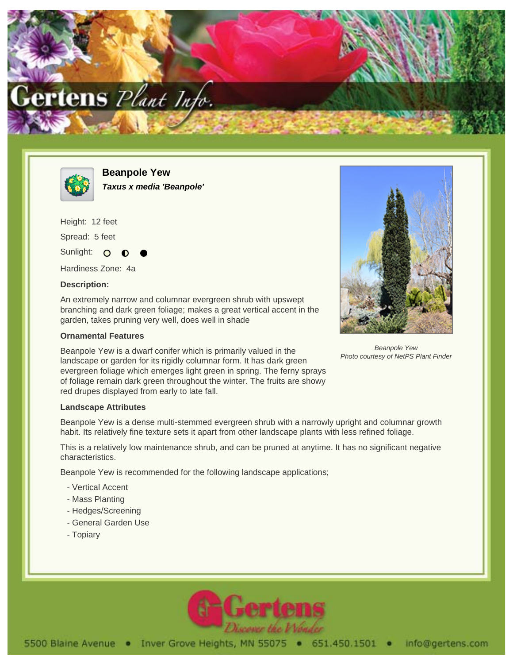



**Beanpole Yew Taxus x media 'Beanpole'**

Height: 12 feet Spread: 5 feet

Sunlight: O

Hardiness Zone: 4a

## **Description:**

An extremely narrow and columnar evergreen shrub with upswept branching and dark green foliage; makes a great vertical accent in the garden, takes pruning very well, does well in shade

## **Ornamental Features**

Beanpole Yew is a dwarf conifer which is primarily valued in the landscape or garden for its rigidly columnar form. It has dark green evergreen foliage which emerges light green in spring. The ferny sprays of foliage remain dark green throughout the winter. The fruits are showy red drupes displayed from early to late fall.



Beanpole Yew Photo courtesy of NetPS Plant Finder

## **Landscape Attributes**

Beanpole Yew is a dense multi-stemmed evergreen shrub with a narrowly upright and columnar growth habit. Its relatively fine texture sets it apart from other landscape plants with less refined foliage.

This is a relatively low maintenance shrub, and can be pruned at anytime. It has no significant negative characteristics.

Beanpole Yew is recommended for the following landscape applications;

- Vertical Accent
- Mass Planting
- Hedges/Screening
- General Garden Use
- Topiary